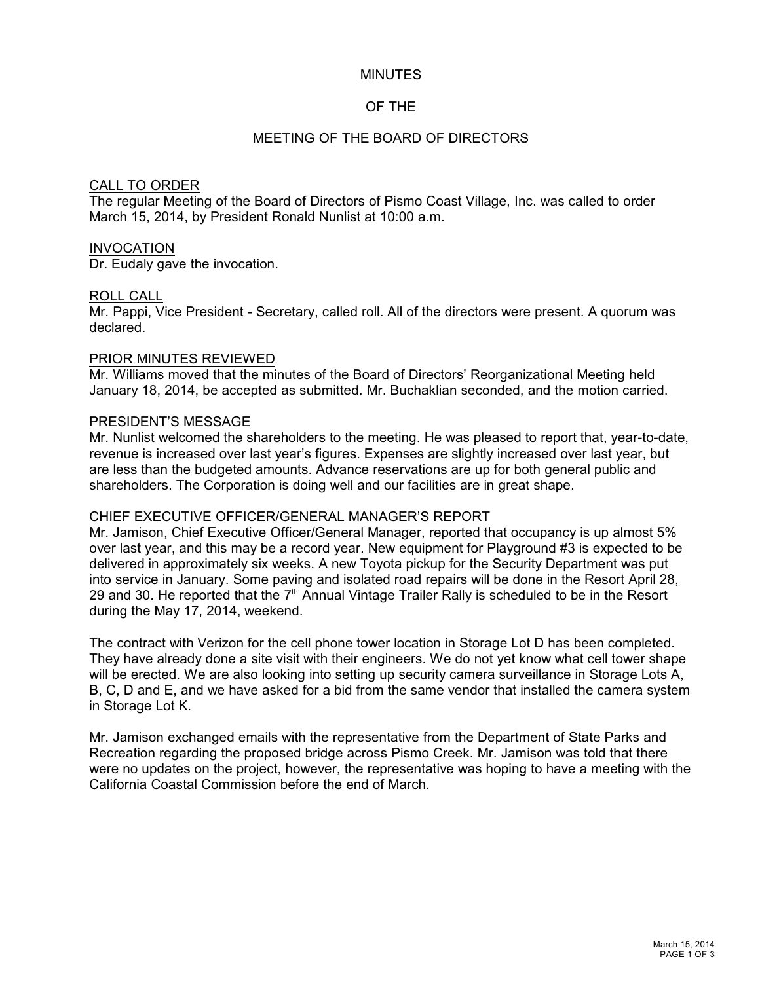#### MINUTES

### OF THE

### MEETING OF THE BOARD OF DIRECTORS

#### CALL TO ORDER

The regular Meeting of the Board of Directors of Pismo Coast Village, Inc. was called to order March 15, 2014, by President Ronald Nunlist at 10:00 a.m.

#### INVOCATION

Dr. Eudaly gave the invocation.

#### ROLL CALL

Mr. Pappi, Vice President - Secretary, called roll. All of the directors were present. A quorum was declared.

#### PRIOR MINUTES REVIEWED

Mr. Williams moved that the minutes of the Board of Directors' Reorganizational Meeting held January 18, 2014, be accepted as submitted. Mr. Buchaklian seconded, and the motion carried.

#### PRESIDENT'S MESSAGE

Mr. Nunlist welcomed the shareholders to the meeting. He was pleased to report that, year-to-date, revenue is increased over last year's figures. Expenses are slightly increased over last year, but are less than the budgeted amounts. Advance reservations are up for both general public and shareholders. The Corporation is doing well and our facilities are in great shape.

#### CHIEF EXECUTIVE OFFICER/GENERAL MANAGER'S REPORT

Mr. Jamison, Chief Executive Officer/General Manager, reported that occupancy is up almost 5% over last year, and this may be a record year. New equipment for Playground #3 is expected to be delivered in approximately six weeks. A new Toyota pickup for the Security Department was put into service in January. Some paving and isolated road repairs will be done in the Resort April 28, 29 and 30. He reported that the  $7<sup>th</sup>$  Annual Vintage Trailer Rally is scheduled to be in the Resort during the May 17, 2014, weekend.

The contract with Verizon for the cell phone tower location in Storage Lot D has been completed. They have already done a site visit with their engineers. We do not yet know what cell tower shape will be erected. We are also looking into setting up security camera surveillance in Storage Lots A, B, C, D and E, and we have asked for a bid from the same vendor that installed the camera system in Storage Lot K.

Mr. Jamison exchanged emails with the representative from the Department of State Parks and Recreation regarding the proposed bridge across Pismo Creek. Mr. Jamison was told that there were no updates on the project, however, the representative was hoping to have a meeting with the California Coastal Commission before the end of March.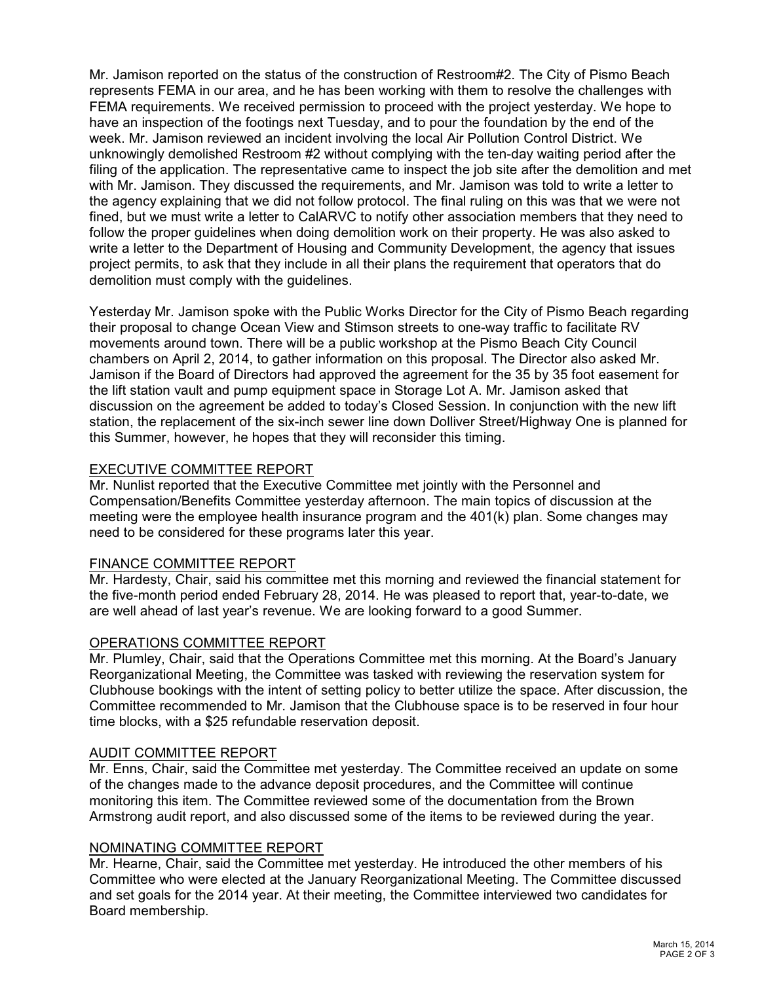Mr. Jamison reported on the status of the construction of Restroom#2. The City of Pismo Beach represents FEMA in our area, and he has been working with them to resolve the challenges with FEMA requirements. We received permission to proceed with the project yesterday. We hope to have an inspection of the footings next Tuesday, and to pour the foundation by the end of the week. Mr. Jamison reviewed an incident involving the local Air Pollution Control District. We unknowingly demolished Restroom #2 without complying with the ten-day waiting period after the filing of the application. The representative came to inspect the job site after the demolition and met with Mr. Jamison. They discussed the requirements, and Mr. Jamison was told to write a letter to the agency explaining that we did not follow protocol. The final ruling on this was that we were not fined, but we must write a letter to CalARVC to notify other association members that they need to follow the proper guidelines when doing demolition work on their property. He was also asked to write a letter to the Department of Housing and Community Development, the agency that issues project permits, to ask that they include in all their plans the requirement that operators that do demolition must comply with the guidelines.

Yesterday Mr. Jamison spoke with the Public Works Director for the City of Pismo Beach regarding their proposal to change Ocean View and Stimson streets to one-way traffic to facilitate RV movements around town. There will be a public workshop at the Pismo Beach City Council chambers on April 2, 2014, to gather information on this proposal. The Director also asked Mr. Jamison if the Board of Directors had approved the agreement for the 35 by 35 foot easement for the lift station vault and pump equipment space in Storage Lot A. Mr. Jamison asked that discussion on the agreement be added to today's Closed Session. In conjunction with the new lift station, the replacement of the six-inch sewer line down Dolliver Street/Highway One is planned for this Summer, however, he hopes that they will reconsider this timing.

# EXECUTIVE COMMITTEE REPORT

Mr. Nunlist reported that the Executive Committee met jointly with the Personnel and Compensation/Benefits Committee yesterday afternoon. The main topics of discussion at the meeting were the employee health insurance program and the 401(k) plan. Some changes may need to be considered for these programs later this year.

## FINANCE COMMITTEE REPORT

Mr. Hardesty, Chair, said his committee met this morning and reviewed the financial statement for the five-month period ended February 28, 2014. He was pleased to report that, year-to-date, we are well ahead of last year's revenue. We are looking forward to a good Summer.

## OPERATIONS COMMITTEE REPORT

Mr. Plumley, Chair, said that the Operations Committee met this morning. At the Board's January Reorganizational Meeting, the Committee was tasked with reviewing the reservation system for Clubhouse bookings with the intent of setting policy to better utilize the space. After discussion, the Committee recommended to Mr. Jamison that the Clubhouse space is to be reserved in four hour time blocks, with a \$25 refundable reservation deposit.

## AUDIT COMMITTEE REPORT

Mr. Enns, Chair, said the Committee met yesterday. The Committee received an update on some of the changes made to the advance deposit procedures, and the Committee will continue monitoring this item. The Committee reviewed some of the documentation from the Brown Armstrong audit report, and also discussed some of the items to be reviewed during the year.

## NOMINATING COMMITTEE REPORT

Mr. Hearne, Chair, said the Committee met yesterday. He introduced the other members of his Committee who were elected at the January Reorganizational Meeting. The Committee discussed and set goals for the 2014 year. At their meeting, the Committee interviewed two candidates for Board membership.